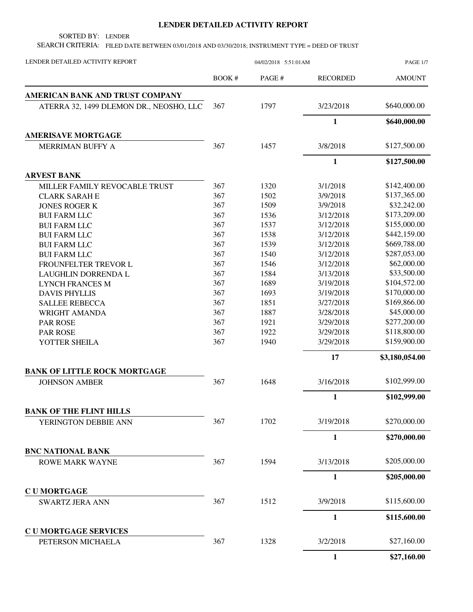## **LENDER DETAILED ACTIVITY REPORT**

SORTED BY: LENDER

SEARCH CRITERIA: FILED DATE BETWEEN 03/01/2018 AND 03/30/2018; INSTRUMENT TYPE = DEED OF TRUST

| LENDER DETAILED ACTIVITY REPORT         | 04/02/2018 5:51:01AM |       |                 | <b>PAGE 1/7</b> |
|-----------------------------------------|----------------------|-------|-----------------|-----------------|
|                                         | BOOK #               | PAGE# | <b>RECORDED</b> | <b>AMOUNT</b>   |
| AMERICAN BANK AND TRUST COMPANY         |                      |       |                 |                 |
| ATERRA 32, 1499 DLEMON DR., NEOSHO, LLC | 367                  | 1797  | 3/23/2018       | \$640,000.00    |
|                                         |                      |       | $\mathbf{1}$    | \$640,000.00    |
| <b>AMERISAVE MORTGAGE</b>               |                      |       |                 |                 |
| MERRIMAN BUFFY A                        | 367                  | 1457  | 3/8/2018        | \$127,500.00    |
|                                         |                      |       | $\mathbf{1}$    | \$127,500.00    |
| <b>ARVEST BANK</b>                      |                      |       |                 |                 |
| MILLER FAMILY REVOCABLE TRUST           | 367                  | 1320  | 3/1/2018        | \$142,400.00    |
| <b>CLARK SARAH E</b>                    | 367                  | 1502  | 3/9/2018        | \$137,365.00    |
| <b>JONES ROGER K</b>                    | 367                  | 1509  | 3/9/2018        | \$32,242.00     |
| <b>BUI FARM LLC</b>                     | 367                  | 1536  | 3/12/2018       | \$173,209.00    |
| <b>BUI FARM LLC</b>                     | 367                  | 1537  | 3/12/2018       | \$155,000.00    |
| <b>BUI FARM LLC</b>                     | 367                  | 1538  | 3/12/2018       | \$442,159.00    |
| <b>BUI FARM LLC</b>                     | 367                  | 1539  | 3/12/2018       | \$669,788.00    |
| <b>BUI FARM LLC</b>                     | 367                  | 1540  | 3/12/2018       | \$287,053.00    |
| FROUNFELTER TREVOR L                    | 367                  | 1546  | 3/12/2018       | \$62,000.00     |
| LAUGHLIN DORRENDA L                     | 367                  | 1584  | 3/13/2018       | \$33,500.00     |
| <b>LYNCH FRANCES M</b>                  | 367                  | 1689  | 3/19/2018       | \$104,572.00    |
| <b>DAVIS PHYLLIS</b>                    | 367                  | 1693  | 3/19/2018       | \$170,000.00    |
| <b>SALLEE REBECCA</b>                   | 367                  | 1851  | 3/27/2018       | \$169,866.00    |
| WRIGHT AMANDA                           | 367                  | 1887  | 3/28/2018       | \$45,000.00     |
| <b>PAR ROSE</b>                         | 367                  | 1921  | 3/29/2018       | \$277,200.00    |
| <b>PAR ROSE</b>                         | 367                  | 1922  | 3/29/2018       | \$118,800.00    |
| YOTTER SHEILA                           | 367                  | 1940  | 3/29/2018       | \$159,900.00    |
|                                         |                      |       | 17              | \$3,180,054.00  |
| <b>BANK OF LITTLE ROCK MORTGAGE</b>     |                      |       |                 |                 |
| <b>JOHNSON AMBER</b>                    | 367                  | 1648  | 3/16/2018       | \$102,999.00    |
|                                         |                      |       | $\mathbf{1}$    | \$102,999.00    |
| <b>BANK OF THE FLINT HILLS</b>          |                      |       |                 |                 |
| YERINGTON DEBBIE ANN                    | 367                  | 1702  | 3/19/2018       | \$270,000.00    |
|                                         |                      |       | $\mathbf{1}$    | \$270,000.00    |
| <b>BNC NATIONAL BANK</b>                |                      |       |                 |                 |
| <b>ROWE MARK WAYNE</b>                  | 367                  | 1594  | 3/13/2018       | \$205,000.00    |
|                                         |                      |       | $\mathbf{1}$    | \$205,000.00    |
| <b>CUMORTGAGE</b>                       |                      |       |                 |                 |
| <b>SWARTZ JERA ANN</b>                  | 367                  | 1512  | 3/9/2018        | \$115,600.00    |
|                                         |                      |       | $\mathbf{1}$    | \$115,600.00    |
| <b>CUMORTGAGE SERVICES</b>              |                      |       |                 |                 |
| PETERSON MICHAELA                       | 367                  | 1328  | 3/2/2018        | \$27,160.00     |
|                                         |                      |       | $\mathbf{1}$    | \$27,160.00     |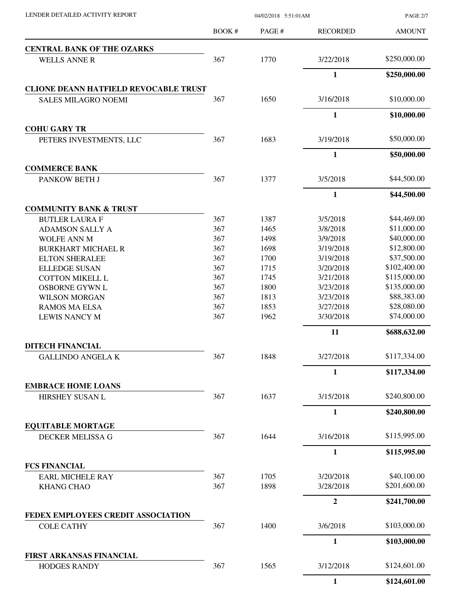| LENDER DETAILED ACTIVITY REPORT              | 04/02/2018 5:51:01AM |       |                 | <b>PAGE 2/7</b> |  |
|----------------------------------------------|----------------------|-------|-----------------|-----------------|--|
|                                              | BOOK #               | PAGE# | <b>RECORDED</b> | <b>AMOUNT</b>   |  |
| <b>CENTRAL BANK OF THE OZARKS</b>            |                      |       |                 |                 |  |
| <b>WELLS ANNE R</b>                          | 367                  | 1770  | 3/22/2018       | \$250,000.00    |  |
|                                              |                      |       | $\mathbf{1}$    | \$250,000.00    |  |
| <b>CLIONE DEANN HATFIELD REVOCABLE TRUST</b> |                      |       |                 |                 |  |
| <b>SALES MILAGRO NOEMI</b>                   | 367                  | 1650  | 3/16/2018       | \$10,000.00     |  |
|                                              |                      |       | $\mathbf{1}$    | \$10,000.00     |  |
| <b>COHU GARY TR</b>                          |                      |       |                 |                 |  |
| PETERS INVESTMENTS, LLC                      | 367                  | 1683  | 3/19/2018       | \$50,000.00     |  |
| <b>COMMERCE BANK</b>                         |                      |       | 1               | \$50,000.00     |  |
| PANKOW BETH J                                | 367                  | 1377  | 3/5/2018        | \$44,500.00     |  |
|                                              |                      |       | $\mathbf{1}$    | \$44,500.00     |  |
| <b>COMMUNITY BANK &amp; TRUST</b>            |                      |       |                 |                 |  |
| <b>BUTLER LAURA F</b>                        | 367                  | 1387  | 3/5/2018        | \$44,469.00     |  |
| <b>ADAMSON SALLY A</b>                       | 367                  | 1465  | 3/8/2018        | \$11,000.00     |  |
| <b>WOLFE ANN M</b>                           | 367                  | 1498  | 3/9/2018        | \$40,000.00     |  |
| <b>BURKHART MICHAEL R</b>                    | 367                  | 1698  | 3/19/2018       | \$12,800.00     |  |
| <b>ELTON SHERALEE</b>                        | 367                  | 1700  | 3/19/2018       | \$37,500.00     |  |
| <b>ELLEDGE SUSAN</b>                         | 367                  | 1715  | 3/20/2018       | \$102,400.00    |  |
| <b>COTTON MIKELL L</b>                       | 367                  | 1745  | 3/21/2018       | \$115,000.00    |  |
| <b>OSBORNE GYWN L</b>                        | 367                  | 1800  | 3/23/2018       | \$135,000.00    |  |
| <b>WILSON MORGAN</b>                         | 367                  | 1813  | 3/23/2018       | \$88,383.00     |  |
| <b>RAMOS MA ELSA</b>                         | 367                  | 1853  | 3/27/2018       | \$28,080.00     |  |
| <b>LEWIS NANCY M</b>                         | 367                  | 1962  | 3/30/2018       | \$74,000.00     |  |
|                                              |                      |       | 11              | \$688,632.00    |  |
| <b>DITECH FINANCIAL</b>                      |                      |       |                 |                 |  |
| <b>GALLINDO ANGELA K</b>                     | 367                  | 1848  | 3/27/2018       | \$117,334.00    |  |
|                                              |                      |       | 1               | \$117,334.00    |  |
| <b>EMBRACE HOME LOANS</b><br>HIRSHEY SUSAN L | 367                  | 1637  | 3/15/2018       | \$240,800.00    |  |
|                                              |                      |       | $\mathbf{1}$    | \$240,800.00    |  |
| <b>EQUITABLE MORTAGE</b>                     |                      |       |                 |                 |  |
| DECKER MELISSA G                             | 367                  | 1644  | 3/16/2018       | \$115,995.00    |  |
|                                              |                      |       | 1               | \$115,995.00    |  |
| <b>FCS FINANCIAL</b>                         |                      |       |                 |                 |  |
| <b>EARL MICHELE RAY</b>                      | 367                  | 1705  | 3/20/2018       | \$40,100.00     |  |
| <b>KHANG CHAO</b>                            | 367                  | 1898  | 3/28/2018       | \$201,600.00    |  |
|                                              |                      |       | $\mathbf{2}$    | \$241,700.00    |  |
| FEDEX EMPLOYEES CREDIT ASSOCIATION           |                      |       |                 |                 |  |
| <b>COLE CATHY</b>                            | 367                  | 1400  | 3/6/2018        | \$103,000.00    |  |
|                                              |                      |       | $\mathbf{1}$    | \$103,000.00    |  |
| FIRST ARKANSAS FINANCIAL                     |                      |       |                 |                 |  |
| <b>HODGES RANDY</b>                          | 367                  | 1565  | 3/12/2018       | \$124,601.00    |  |
|                                              |                      |       | $\mathbf{1}$    | \$124,601.00    |  |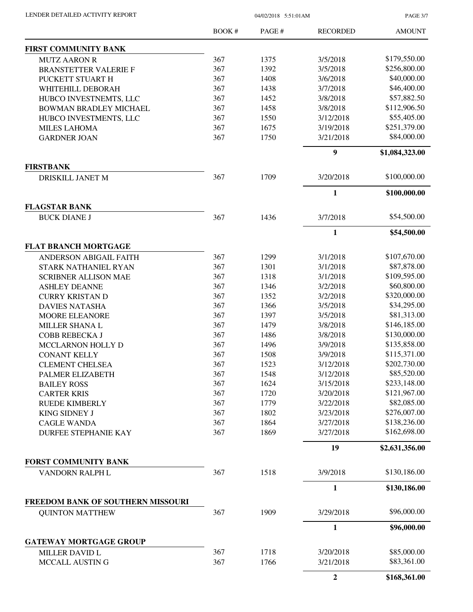| LENDER DETAILED ACTIVITY REPORT |  |
|---------------------------------|--|
|                                 |  |

04/02/2018 5:51:01AM

PAGE 3/7

|                                   | BOOK# | PAGE# | <b>RECORDED</b>  | <b>AMOUNT</b>  |
|-----------------------------------|-------|-------|------------------|----------------|
| <b>FIRST COMMUNITY BANK</b>       |       |       |                  |                |
| <b>MUTZ AARON R</b>               | 367   | 1375  | 3/5/2018         | \$179,550.00   |
| <b>BRANSTETTER VALERIE F</b>      | 367   | 1392  | 3/5/2018         | \$256,800.00   |
| PUCKETT STUART H                  | 367   | 1408  | 3/6/2018         | \$40,000.00    |
| WHITEHILL DEBORAH                 | 367   | 1438  | 3/7/2018         | \$46,400.00    |
| HUBCO INVESTNEMTS, LLC            | 367   | 1452  | 3/8/2018         | \$57,882.50    |
| BOWMAN BRADLEY MICHAEL            | 367   | 1458  | 3/8/2018         | \$112,906.50   |
| HUBCO INVESTMENTS, LLC            | 367   | 1550  | 3/12/2018        | \$55,405.00    |
| <b>MILES LAHOMA</b>               | 367   | 1675  | 3/19/2018        | \$251,379.00   |
| <b>GARDNER JOAN</b>               | 367   | 1750  | 3/21/2018        | \$84,000.00    |
|                                   |       |       | 9                | \$1,084,323.00 |
| <b>FIRSTBANK</b>                  |       |       |                  |                |
| DRISKILL JANET M                  | 367   | 1709  | 3/20/2018        | \$100,000.00   |
|                                   |       |       | $\mathbf{1}$     | \$100,000.00   |
| <b>FLAGSTAR BANK</b>              |       |       |                  |                |
| <b>BUCK DIANE J</b>               | 367   | 1436  | 3/7/2018         | \$54,500.00    |
|                                   |       |       | $\mathbf{1}$     | \$54,500.00    |
| <b>FLAT BRANCH MORTGAGE</b>       |       |       |                  |                |
| <b>ANDERSON ABIGAIL FAITH</b>     | 367   | 1299  | 3/1/2018         | \$107,670.00   |
| <b>STARK NATHANIEL RYAN</b>       | 367   | 1301  | 3/1/2018         | \$87,878.00    |
| <b>SCRIBNER ALLISON MAE</b>       | 367   | 1318  | 3/1/2018         | \$109,595.00   |
| <b>ASHLEY DEANNE</b>              | 367   | 1346  | 3/2/2018         | \$60,800.00    |
| <b>CURRY KRISTAN D</b>            | 367   | 1352  | 3/2/2018         | \$320,000.00   |
| <b>DAVIES NATASHA</b>             | 367   | 1366  | 3/5/2018         | \$34,295.00    |
| <b>MOORE ELEANORE</b>             | 367   | 1397  | 3/5/2018         | \$81,313.00    |
| MILLER SHANA L                    | 367   | 1479  | 3/8/2018         | \$146,185.00   |
| COBB REBECKA J                    | 367   | 1486  | 3/8/2018         | \$130,000.00   |
| MCCLARNON HOLLY D                 | 367   | 1496  | 3/9/2018         | \$135,858.00   |
| <b>CONANT KELLY</b>               | 367   | 1508  | 3/9/2018         | \$115,371.00   |
| <b>CLEMENT CHELSEA</b>            | 367   | 1523  | 3/12/2018        | \$202,730.00   |
| PALMER ELIZABETH                  | 367   | 1548  | 3/12/2018        | \$85,520.00    |
| <b>BAILEY ROSS</b>                | 367   | 1624  | 3/15/2018        | \$233,148.00   |
| <b>CARTER KRIS</b>                | 367   | 1720  | 3/20/2018        | \$121,967.00   |
| <b>RUEDE KIMBERLY</b>             | 367   | 1779  | 3/22/2018        | \$82,085.00    |
| <b>KING SIDNEY J</b>              | 367   | 1802  | 3/23/2018        | \$276,007.00   |
| <b>CAGLE WANDA</b>                | 367   | 1864  | 3/27/2018        | \$138,236.00   |
| <b>DURFEE STEPHANIE KAY</b>       | 367   | 1869  | 3/27/2018        | \$162,698.00   |
|                                   |       |       | 19               | \$2,631,356.00 |
| <b>FORST COMMUNITY BANK</b>       |       |       |                  |                |
| VANDORN RALPH L                   | 367   | 1518  | 3/9/2018         | \$130,186.00   |
|                                   |       |       | $\mathbf{1}$     | \$130,186.00   |
| FREEDOM BANK OF SOUTHERN MISSOURI |       |       |                  |                |
| <b>QUINTON MATTHEW</b>            | 367   | 1909  | 3/29/2018        | \$96,000.00    |
|                                   |       |       | $\mathbf{1}$     | \$96,000.00    |
| <b>GATEWAY MORTGAGE GROUP</b>     |       |       |                  |                |
| MILLER DAVID L                    | 367   | 1718  | 3/20/2018        | \$85,000.00    |
| MCCALL AUSTIN G                   | 367   | 1766  | 3/21/2018        | \$83,361.00    |
|                                   |       |       | $\boldsymbol{2}$ | \$168,361.00   |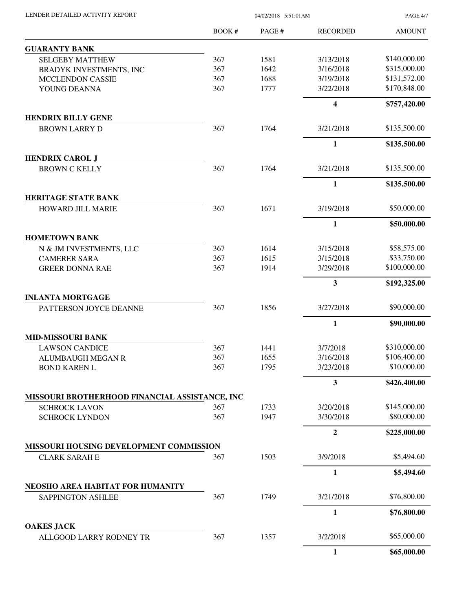| LENDER DETAILED ACTIVITY REPORT |  |
|---------------------------------|--|
|                                 |  |

04/02/2018 5:51:01AM

PAGE 4/7

|                                                   | BOOK# | PAGE # | <b>RECORDED</b>         | <b>AMOUNT</b> |
|---------------------------------------------------|-------|--------|-------------------------|---------------|
| <b>GUARANTY BANK</b>                              |       |        |                         |               |
| <b>SELGEBY MATTHEW</b>                            | 367   | 1581   | 3/13/2018               | \$140,000.00  |
| BRADYK INVESTMENTS, INC                           | 367   | 1642   | 3/16/2018               | \$315,000.00  |
| <b>MCCLENDON CASSIE</b>                           | 367   | 1688   | 3/19/2018               | \$131,572.00  |
| YOUNG DEANNA                                      | 367   | 1777   | 3/22/2018               | \$170,848.00  |
|                                                   |       |        | $\overline{\mathbf{4}}$ | \$757,420.00  |
| <b>HENDRIX BILLY GENE</b>                         |       |        |                         |               |
| <b>BROWN LARRY D</b>                              | 367   | 1764   | 3/21/2018               | \$135,500.00  |
|                                                   |       |        | $\mathbf{1}$            | \$135,500.00  |
| <b>HENDRIX CAROL J</b>                            |       |        |                         |               |
| <b>BROWN C KELLY</b>                              | 367   | 1764   | 3/21/2018               | \$135,500.00  |
|                                                   |       |        | $\mathbf{1}$            | \$135,500.00  |
| <b>HERITAGE STATE BANK</b>                        |       | 1671   |                         | \$50,000.00   |
| <b>HOWARD JILL MARIE</b>                          | 367   |        | 3/19/2018               |               |
|                                                   |       |        | $\mathbf{1}$            | \$50,000.00   |
| <b>HOMETOWN BANK</b>                              |       |        |                         |               |
| N & JM INVESTMENTS, LLC                           | 367   | 1614   | 3/15/2018               | \$58,575.00   |
| <b>CAMERER SARA</b>                               | 367   | 1615   | 3/15/2018               | \$33,750.00   |
| <b>GREER DONNA RAE</b>                            | 367   | 1914   | 3/29/2018               | \$100,000.00  |
|                                                   |       |        | 3                       | \$192,325.00  |
| <b>INLANTA MORTGAGE</b><br>PATTERSON JOYCE DEANNE | 367   | 1856   | 3/27/2018               | \$90,000.00   |
|                                                   |       |        |                         |               |
| <b>MID-MISSOURI BANK</b>                          |       |        | 1                       | \$90,000.00   |
| <b>LAWSON CANDICE</b>                             | 367   | 1441   | 3/7/2018                | \$310,000.00  |
| <b>ALUMBAUGH MEGAN R</b>                          | 367   | 1655   | 3/16/2018               | \$106,400.00  |
| <b>BOND KAREN L</b>                               | 367   | 1795   | 3/23/2018               | \$10,000.00   |
|                                                   |       |        | $\mathbf{3}$            | \$426,400.00  |
| MISSOURI BROTHERHOOD FINANCIAL ASSISTANCE, INC    |       |        |                         |               |
| <b>SCHROCK LAVON</b>                              | 367   | 1733   | 3/20/2018               | \$145,000.00  |
| <b>SCHROCK LYNDON</b>                             | 367   | 1947   | 3/30/2018               | \$80,000.00   |
|                                                   |       |        | $\overline{2}$          | \$225,000.00  |
| MISSOURI HOUSING DEVELOPMENT COMMISSION           |       |        |                         |               |
| <b>CLARK SARAH E</b>                              | 367   | 1503   | 3/9/2018                | \$5,494.60    |
|                                                   |       |        | 1                       | \$5,494.60    |
| NEOSHO AREA HABITAT FOR HUMANITY                  |       |        |                         |               |
| <b>SAPPINGTON ASHLEE</b>                          | 367   | 1749   | 3/21/2018               | \$76,800.00   |
|                                                   |       |        | 1                       | \$76,800.00   |
| <b>OAKES JACK</b><br>ALLGOOD LARRY RODNEY TR      | 367   | 1357   | 3/2/2018                | \$65,000.00   |
|                                                   |       |        | $\mathbf{1}$            | \$65,000.00   |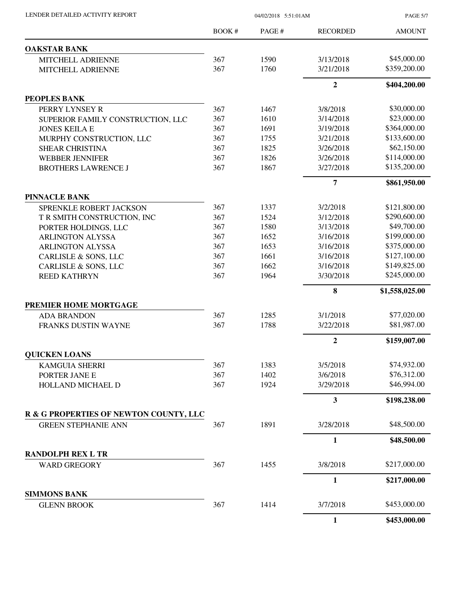| LENDER DETAILED ACTIVITY REPORT           | 04/02/2018 5:51:01AM |        |                         | <b>PAGE 5/7</b>              |
|-------------------------------------------|----------------------|--------|-------------------------|------------------------------|
|                                           | BOOK #               | PAGE # | <b>RECORDED</b>         | <b>AMOUNT</b>                |
| <b>OAKSTAR BANK</b>                       |                      |        |                         |                              |
| MITCHELL ADRIENNE                         | 367                  | 1590   | 3/13/2018               | \$45,000.00                  |
| MITCHELL ADRIENNE                         | 367                  | 1760   | 3/21/2018               | \$359,200.00                 |
|                                           |                      |        | $\overline{2}$          | \$404,200.00                 |
| PEOPLES BANK                              |                      |        |                         |                              |
| PERRY LYNSEY R                            | 367                  | 1467   | 3/8/2018                | \$30,000.00                  |
| SUPERIOR FAMILY CONSTRUCTION, LLC         | 367                  | 1610   | 3/14/2018               | \$23,000.00                  |
| <b>JONES KEILA E</b>                      | 367                  | 1691   | 3/19/2018               | \$364,000.00                 |
| MURPHY CONSTRUCTION, LLC                  | 367                  | 1755   | 3/21/2018               | \$133,600.00                 |
| <b>SHEAR CHRISTINA</b>                    | 367                  | 1825   | 3/26/2018               | \$62,150.00                  |
| <b>WEBBER JENNIFER</b>                    | 367                  | 1826   | 3/26/2018               | \$114,000.00                 |
| <b>BROTHERS LAWRENCE J</b>                | 367                  | 1867   | 3/27/2018               | \$135,200.00                 |
|                                           |                      |        | $\overline{7}$          | \$861,950.00                 |
| <b>PINNACLE BANK</b>                      |                      |        |                         |                              |
| SPRENKLE ROBERT JACKSON                   | 367                  | 1337   | 3/2/2018                | \$121,800.00                 |
| T R SMITH CONSTRUCTION, INC               | 367                  | 1524   | 3/12/2018               | \$290,600.00                 |
| PORTER HOLDINGS, LLC                      | 367                  | 1580   | 3/13/2018               | \$49,700.00                  |
| <b>ARLINGTON ALYSSA</b>                   | 367                  | 1652   | 3/16/2018               | \$199,000.00                 |
| <b>ARLINGTON ALYSSA</b>                   | 367                  | 1653   | 3/16/2018               | \$375,000.00                 |
| CARLISLE & SONS, LLC                      | 367                  | 1661   | 3/16/2018               | \$127,100.00<br>\$149,825.00 |
| CARLISLE & SONS, LLC                      | 367                  | 1662   | 3/16/2018               |                              |
| <b>REED KATHRYN</b>                       | 367                  | 1964   | 3/30/2018               | \$245,000.00                 |
|                                           |                      |        | 8                       | \$1,558,025.00               |
| PREMIER HOME MORTGAGE                     |                      |        |                         |                              |
| <b>ADA BRANDON</b>                        | 367                  | 1285   | 3/1/2018                | \$77,020.00                  |
| FRANKS DUSTIN WAYNE                       | 367                  | 1788   | 3/22/2018               | \$81,987.00                  |
|                                           |                      |        | $\boldsymbol{2}$        | \$159,007.00                 |
| <b>QUICKEN LOANS</b>                      |                      |        |                         |                              |
| <b>KAMGUIA SHERRI</b>                     | 367                  | 1383   | 3/5/2018                | \$74,932.00                  |
| PORTER JANE E                             | 367                  | 1402   | 3/6/2018                | \$76,312.00                  |
| HOLLAND MICHAEL D                         | 367                  | 1924   | 3/29/2018               | \$46,994.00                  |
|                                           |                      |        | $\overline{\mathbf{3}}$ | \$198,238.00                 |
| R & G PROPERTIES OF NEWTON COUNTY, LLC    |                      |        |                         |                              |
| <b>GREEN STEPHANIE ANN</b>                | 367                  | 1891   | 3/28/2018               | \$48,500.00                  |
|                                           |                      |        | $\mathbf{1}$            | \$48,500.00                  |
| <b>RANDOLPH REX L TR</b>                  |                      |        |                         |                              |
| <b>WARD GREGORY</b>                       | 367                  | 1455   | 3/8/2018                | \$217,000.00                 |
|                                           |                      |        | 1                       | \$217,000.00                 |
| <b>SIMMONS BANK</b><br><b>GLENN BROOK</b> | 367                  | 1414   | 3/7/2018                | \$453,000.00                 |
|                                           |                      |        | 1                       | \$453,000.00                 |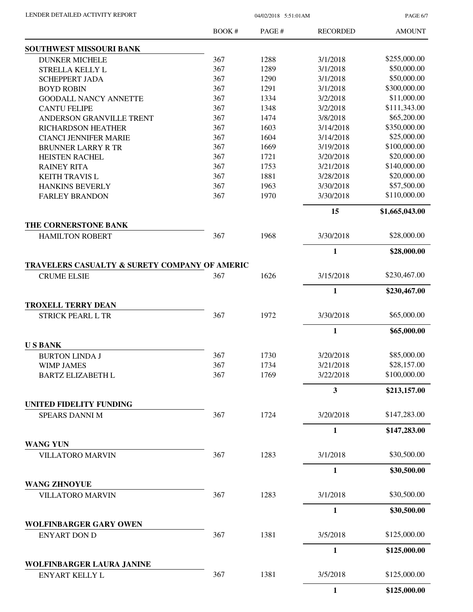PAGE 6/7

|                                                                     | BOOK# | PAGE# | <b>RECORDED</b> | <b>AMOUNT</b>  |
|---------------------------------------------------------------------|-------|-------|-----------------|----------------|
| SOUTHWEST MISSOURI BANK                                             |       |       |                 |                |
| <b>DUNKER MICHELE</b>                                               | 367   | 1288  | 3/1/2018        | \$255,000.00   |
| STRELLA KELLY L                                                     | 367   | 1289  | 3/1/2018        | \$50,000.00    |
| <b>SCHEPPERT JADA</b>                                               | 367   | 1290  | 3/1/2018        | \$50,000.00    |
| <b>BOYD ROBIN</b>                                                   | 367   | 1291  | 3/1/2018        | \$300,000.00   |
| <b>GOODALL NANCY ANNETTE</b>                                        | 367   | 1334  | 3/2/2018        | \$11,000.00    |
| <b>CANTU FELIPE</b>                                                 | 367   | 1348  | 3/2/2018        | \$111,343.00   |
| ANDERSON GRANVILLE TRENT                                            | 367   | 1474  | 3/8/2018        | \$65,200.00    |
| <b>RICHARDSON HEATHER</b>                                           | 367   | 1603  | 3/14/2018       | \$350,000.00   |
| <b>CIANCI JENNIFER MARIE</b>                                        | 367   | 1604  | 3/14/2018       | \$25,000.00    |
| <b>BRUNNER LARRY R TR</b>                                           | 367   | 1669  | 3/19/2018       | \$100,000.00   |
| <b>HEISTEN RACHEL</b>                                               | 367   | 1721  | 3/20/2018       | \$20,000.00    |
| <b>RAINEY RITA</b>                                                  | 367   | 1753  | 3/21/2018       | \$140,000.00   |
| <b>KEITH TRAVIS L</b>                                               | 367   | 1881  | 3/28/2018       | \$20,000.00    |
| <b>HANKINS BEVERLY</b>                                              | 367   | 1963  | 3/30/2018       | \$57,500.00    |
| <b>FARLEY BRANDON</b>                                               | 367   | 1970  | 3/30/2018       | \$110,000.00   |
|                                                                     |       |       | 15              | \$1,665,043.00 |
| THE CORNERSTONE BANK<br><b>HAMILTON ROBERT</b>                      | 367   | 1968  | 3/30/2018       | \$28,000.00    |
|                                                                     |       |       |                 |                |
|                                                                     |       |       | $\mathbf{1}$    | \$28,000.00    |
| TRAVELERS CASUALTY & SURETY COMPANY OF AMERIC<br><b>CRUME ELSIE</b> | 367   | 1626  | 3/15/2018       | \$230,467.00   |
|                                                                     |       |       | $\mathbf{1}$    | \$230,467.00   |
| <b>TROXELL TERRY DEAN</b>                                           |       |       |                 |                |
| <b>STRICK PEARL L TR</b>                                            | 367   | 1972  | 3/30/2018       | \$65,000.00    |
|                                                                     |       |       | $\mathbf{1}$    | \$65,000.00    |
| <b>USBANK</b>                                                       |       |       |                 |                |
| <b>BURTON LINDA J</b>                                               | 367   | 1730  | 3/20/2018       | \$85,000.00    |
| <b>WIMP JAMES</b>                                                   | 367   | 1734  | 3/21/2018       | \$28,157.00    |
| <b>BARTZ ELIZABETH L</b>                                            | 367   | 1769  | 3/22/2018       | \$100,000.00   |
|                                                                     |       |       | 3               | \$213,157.00   |
| UNITED FIDELITY FUNDING                                             |       |       |                 |                |
| <b>SPEARS DANNI M</b>                                               | 367   | 1724  | 3/20/2018       | \$147,283.00   |
|                                                                     |       |       | $\mathbf{1}$    | \$147,283.00   |
| <b>WANG YUN</b>                                                     |       |       |                 |                |
| <b>VILLATORO MARVIN</b>                                             | 367   | 1283  | 3/1/2018        | \$30,500.00    |
|                                                                     |       |       | $\mathbf{1}$    | \$30,500.00    |
| <b>WANG ZHNOYUE</b>                                                 |       |       |                 |                |
| <b>VILLATORO MARVIN</b>                                             | 367   | 1283  | 3/1/2018        | \$30,500.00    |
|                                                                     |       |       | $\mathbf{1}$    | \$30,500.00    |
| WOLFINBARGER GARY OWEN                                              |       |       |                 |                |
| <b>ENYART DON D</b>                                                 | 367   | 1381  | 3/5/2018        | \$125,000.00   |
|                                                                     |       |       | $\mathbf{1}$    | \$125,000.00   |
| WOLFINBARGER LAURA JANINE<br>ENYART KELLY L                         | 367   | 1381  | 3/5/2018        | \$125,000.00   |
|                                                                     |       |       | $\mathbf{1}$    | \$125,000.00   |
|                                                                     |       |       |                 |                |